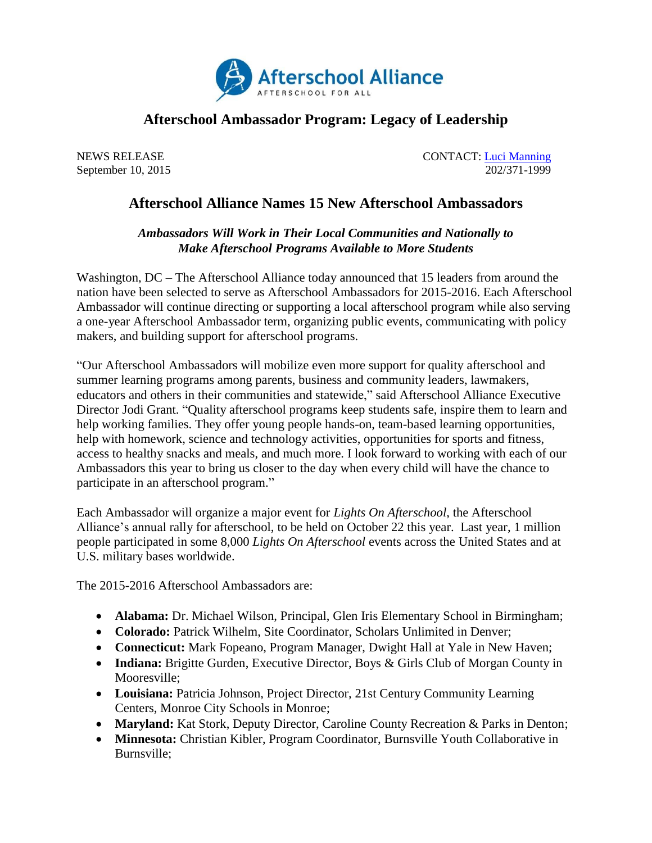

## **Afterschool Ambassador Program: Legacy of Leadership**

September 10, 2015

NEWS RELEASE CONTACT: <u>Luci Manning</u><br>September 10, 2015 202/371-1999

## **Afterschool Alliance Names 15 New Afterschool Ambassadors**

## *Ambassadors Will Work in Their Local Communities and Nationally to Make Afterschool Programs Available to More Students*

Washington, DC – The Afterschool Alliance today announced that 15 leaders from around the nation have been selected to serve as Afterschool Ambassadors for 2015-2016. Each Afterschool Ambassador will continue directing or supporting a local afterschool program while also serving a one-year Afterschool Ambassador term, organizing public events, communicating with policy makers, and building support for afterschool programs.

"Our Afterschool Ambassadors will mobilize even more support for quality afterschool and summer learning programs among parents, business and community leaders, lawmakers, educators and others in their communities and statewide," said Afterschool Alliance Executive Director Jodi Grant. "Quality afterschool programs keep students safe, inspire them to learn and help working families. They offer young people hands-on, team-based learning opportunities, help with homework, science and technology activities, opportunities for sports and fitness, access to healthy snacks and meals, and much more. I look forward to working with each of our Ambassadors this year to bring us closer to the day when every child will have the chance to participate in an afterschool program."

Each Ambassador will organize a major event for *Lights On Afterschool*, the Afterschool Alliance's annual rally for afterschool, to be held on October 22 this year. Last year, 1 million people participated in some 8,000 *Lights On Afterschool* events across the United States and at U.S. military bases worldwide.

The 2015-2016 Afterschool Ambassadors are:

- **Alabama:** Dr. Michael Wilson, Principal, Glen Iris Elementary School in Birmingham;
- **Colorado:** Patrick Wilhelm, Site Coordinator, Scholars Unlimited in Denver;
- **Connecticut:** Mark Fopeano, Program Manager, Dwight Hall at Yale in New Haven;
- **Indiana:** Brigitte Gurden, Executive Director, Boys & Girls Club of Morgan County in Mooresville;
- **Louisiana:** Patricia Johnson, Project Director, 21st Century Community Learning Centers, Monroe City Schools in Monroe;
- **Maryland:** Kat Stork, Deputy Director, Caroline County Recreation & Parks in Denton;
- **Minnesota:** Christian Kibler, Program Coordinator, Burnsville Youth Collaborative in Burnsville;